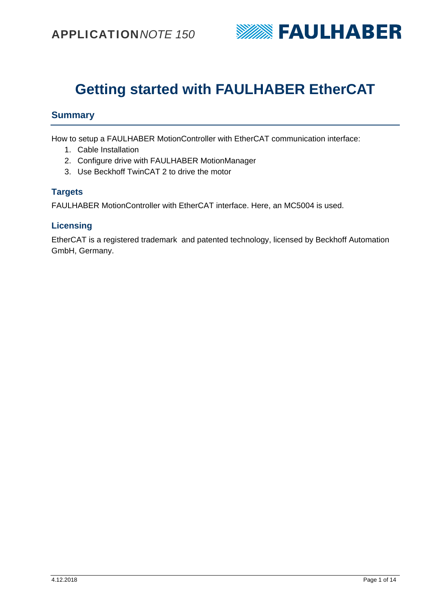

# **Getting started with FAULHABER EtherCAT**

## **Summary**

How to setup a FAULHABER MotionController with EtherCAT communication interface:

- 1. Cable Installation
- 2. Configure drive with FAULHABER MotionManager
- 3. Use Beckhoff TwinCAT 2 to drive the motor

### **Targets**

FAULHABER MotionController with EtherCAT interface. Here, an MC5004 is used.

### **Licensing**

EtherCAT is a registered trademark and patented technology, licensed by Beckhoff Automation GmbH, Germany.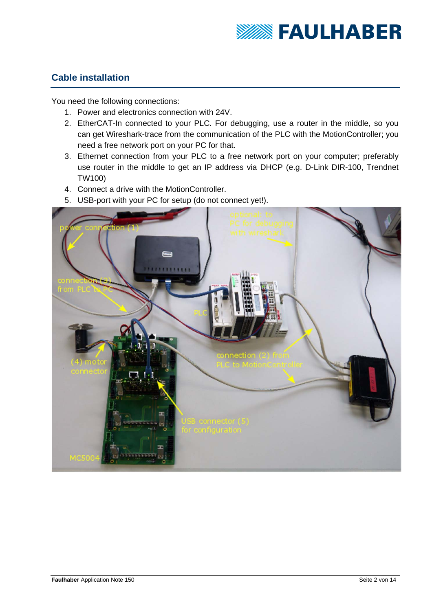

## **Cable installation**

You need the following connections:

- 1. Power and electronics connection with 24V.
- 2. EtherCAT-In connected to your PLC. For debugging, use a router in the middle, so you can get Wireshark-trace from the communication of the PLC with the MotionController; you need a free network port on your PC for that.
- 3. Ethernet connection from your PLC to a free network port on your computer; preferably use router in the middle to get an IP address via DHCP (e.g. D-Link DIR-100, Trendnet TW100)
- 4. Connect a drive with the MotionController.
- 5. USB-port with your PC for setup (do not connect yet!).

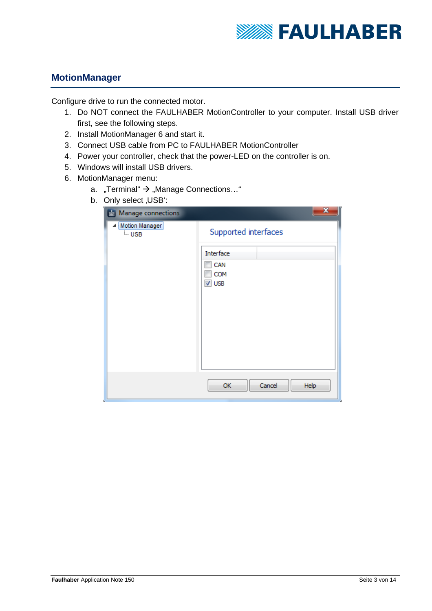

# **MotionManager**

Configure drive to run the connected motor.

- 1. Do NOT connect the FAULHABER MotionController to your computer. Install USB driver first, see the following steps.
- 2. Install MotionManager 6 and start it.
- 3. Connect USB cable from PC to FAULHABER MotionController
- 4. Power your controller, check that the power-LED on the controller is on.
- 5. Windows will install USB drivers.
- 6. MotionManager menu:
	- a. "Terminal"  $\rightarrow$  "Manage Connections..."
	- b. Only select USB":

| ◢<br>Manage connections | X                         |
|-------------------------|---------------------------|
| Motion Manager<br>⊧ USB | Supported interfaces      |
|                         | Interface                 |
|                         | CAN                       |
|                         | COM<br>$\overline{V}$ USB |
|                         |                           |
|                         |                           |
|                         |                           |
|                         |                           |
|                         |                           |
|                         |                           |
|                         | Cancel<br>Help<br>OK      |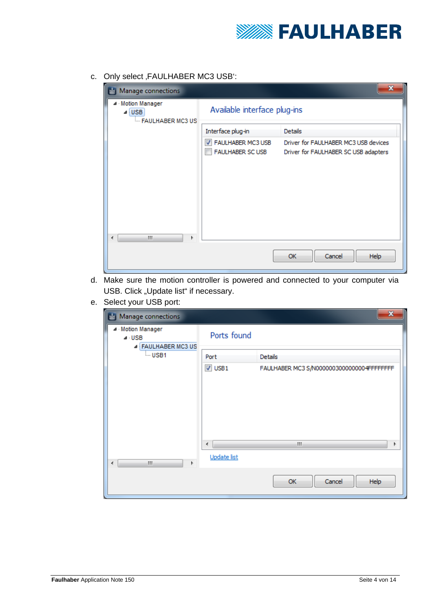

c. Only select , FAULHABER MC3 USB':

| Manage connections                              |                                                   |                                                                              |
|-------------------------------------------------|---------------------------------------------------|------------------------------------------------------------------------------|
| ▲ Motion Manager<br>⊿ USB<br>- FAULHABER MC3 US | Available interface plug-ins                      |                                                                              |
|                                                 | Interface plug-in                                 | <b>Details</b>                                                               |
|                                                 | FAULHABER MC3 USB<br>√<br><b>FAULHABER SC USB</b> | Driver for FAULHABER MC3 USB devices<br>Driver for FAULHABER SC USB adapters |
| m.<br>Þ                                         |                                                   | Cancel<br>OK<br>Help                                                         |

- d. Make sure the motion controller is powered and connected to your computer via USB. Click "Update list" if necessary.
- e. Select your USB port:

| Manage connections                                           |                  | X                                         |  |  |
|--------------------------------------------------------------|------------------|-------------------------------------------|--|--|
| ▲ Motion Manager<br>$4 \cdot \text{USE}$<br>FAULHABER MC3 US | Ports found      |                                           |  |  |
| <sub>i</sub> USB1                                            | Port             | <b>Details</b>                            |  |  |
|                                                              | $\nabla$ USB1    | FAULHABER MC3 S/N0000003000000004FFFFFFFF |  |  |
| m.<br>Þ<br>∢                                                 | ∢<br>Update list | m.<br>r                                   |  |  |
|                                                              |                  | OK<br>Cancel<br>Help                      |  |  |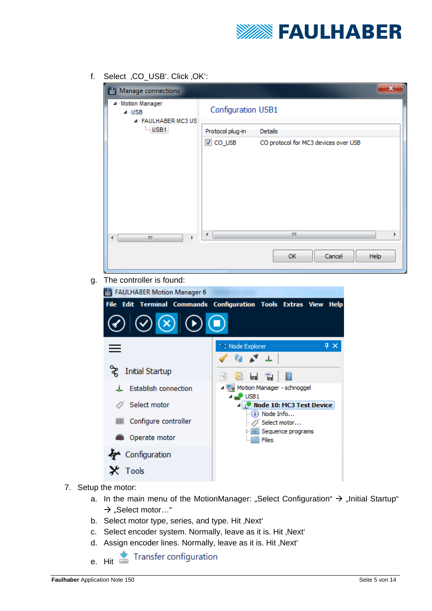

f. Select , CO\_USB'. Click , OK':

| Manage connections                                    |                    |                                      | $\mathbf{x}$ |
|-------------------------------------------------------|--------------------|--------------------------------------|--------------|
| Motion Manager<br>$4 \cdot$ USB<br>4 FAULHABER MC3 US | Configuration USB1 |                                      |              |
| USB1                                                  | Protocol plug-in   | <b>Details</b>                       |              |
|                                                       | <b>V</b> CO_USB    | CO protocol for MC3 devices over USB |              |
| m.<br>Þ<br>∢                                          | ∢                  | an.                                  |              |
|                                                       |                    | Cancel<br>OK                         | Help         |

g. The controller is found:

| <b>FAULHABER Motion Manager 6</b>           |                                                                            |
|---------------------------------------------|----------------------------------------------------------------------------|
|                                             | File Edit Terminal Commands Configuration Tools Extras View<br><b>Help</b> |
| $\bigcirc$ $\bigcirc$ $\bigcirc$ $\bigcirc$ |                                                                            |
|                                             | ***, Node Explorer<br>$\mathbf{\mu} \times$<br>,,,,,,,,,,,,,,,,,,,,,,,,,,, |
| <b>Initial Startup</b>                      | $\vert$ ?<br>- Tal<br>ld<br>$\mathrm{^{51}C}$<br>ыu                        |
| <b>Establish connection</b>                 | 里 Motion Manager - schnoggel                                               |
| Select motor                                | USB <sub>1</sub><br>Node 10: MC3 Test Device<br>(i) Node Info              |
| Configure controller<br>UANO.               | Select motor                                                               |
| Operate motor                               | Sequence programs<br>Files                                                 |
| Configuration                               |                                                                            |
| Tools                                       |                                                                            |

- 7. Setup the motor:
	- a. In the main menu of the MotionManager: "Select Configuration"  $\rightarrow$  "Initial Startup"  $\rightarrow$  "Select motor…"
	- b. Select motor type, series, and type. Hit, Next'
	- c. Select encoder system. Normally, leave as it is. Hit, Next'
	- d. Assign encoder lines. Normally, leave as it is. Hit, Next'
	- Transfer configuration e. Hit  $\equiv$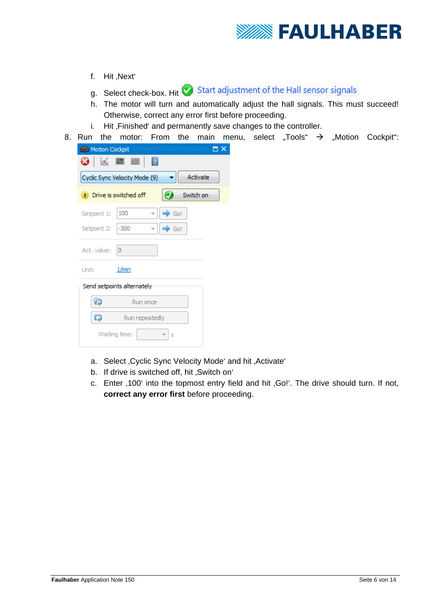

- f. Hit .Next<sup>\*</sup>
- g. Select check-box. Hit Start adjustment of the Hall sensor signals
- h. The motor will turn and automatically adjust the hall signals. This must succeed! Otherwise, correct any error first before proceeding.
- i. Hit, Finished' and permanently save changes to the controller.
- 8. Run the motor: From the main menu, select "Tools"  $\rightarrow$  "Motion Cockpit":

| Motion Cockpit |                               |       | ${\color{red} \textbf{1}} \textbf{1} \textbf{1} \textbf{1} \textbf{1} \textbf{1} \textbf{1} \textbf{1} \textbf{1} \textbf{1} \textbf{1} \textbf{1} \textbf{1} \textbf{1} \textbf{1} \textbf{1} \textbf{1} \textbf{1} \textbf{1} \textbf{1} \textbf{1} \textbf{1} \textbf{1} \textbf{1} \textbf{1} \textbf{1} \textbf{1} \textbf{1} \textbf{1} \textbf{1} \textbf{1} \textbf{1} \textbf{1} \textbf{1} \textbf{1} \textbf{1$ |  |
|----------------|-------------------------------|-------|----------------------------------------------------------------------------------------------------------------------------------------------------------------------------------------------------------------------------------------------------------------------------------------------------------------------------------------------------------------------------------------------------------------------------|--|
| x              | 7<br>$\frac{1}{2}$<br>[辞]     |       |                                                                                                                                                                                                                                                                                                                                                                                                                            |  |
|                | Cyclic Sync Velocity Mode (9) |       | Activate                                                                                                                                                                                                                                                                                                                                                                                                                   |  |
| п              | Drive is switched off         |       | Switch on                                                                                                                                                                                                                                                                                                                                                                                                                  |  |
| Setpoint 1:    | 100                           | → Go! |                                                                                                                                                                                                                                                                                                                                                                                                                            |  |
| Setpoint 2:    | $-300$                        | Go!   |                                                                                                                                                                                                                                                                                                                                                                                                                            |  |
| Act. value:    | 0                             |       |                                                                                                                                                                                                                                                                                                                                                                                                                            |  |
| Unit:          | 1/min                         |       |                                                                                                                                                                                                                                                                                                                                                                                                                            |  |
|                | Send setpoints alternately    |       |                                                                                                                                                                                                                                                                                                                                                                                                                            |  |
|                | Run once                      |       |                                                                                                                                                                                                                                                                                                                                                                                                                            |  |
|                | Run repeatedly                |       |                                                                                                                                                                                                                                                                                                                                                                                                                            |  |
|                | Waiting time:                 | S     |                                                                                                                                                                                                                                                                                                                                                                                                                            |  |

- a. Select , Cyclic Sync Velocity Mode' and hit , Activate'
- b. If drive is switched off, hit .Switch on'
- c. Enter ,100' into the topmost entry field and hit ,Go!'. The drive should turn. If not, **correct any error first** before proceeding.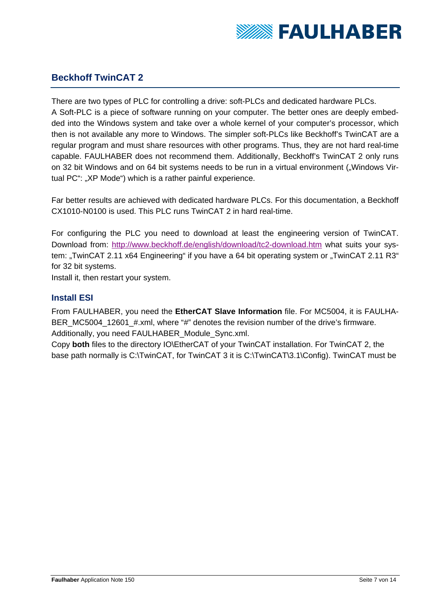

## **Beckhoff TwinCAT 2**

There are two types of PLC for controlling a drive: soft-PLCs and dedicated hardware PLCs. A Soft-PLC is a piece of software running on your computer. The better ones are deeply embedded into the Windows system and take over a whole kernel of your computer's processor, which then is not available any more to Windows. The simpler soft-PLCs like Beckhoff's TwinCAT are a regular program and must share resources with other programs. Thus, they are not hard real-time capable. FAULHABER does not recommend them. Additionally, Beckhoff's TwinCAT 2 only runs on 32 bit Windows and on 64 bit systems needs to be run in a virtual environment ("Windows Virtual PC": "XP Mode") which is a rather painful experience.

Far better results are achieved with dedicated hardware PLCs. For this documentation, a Beckhoff CX1010-N0100 is used. This PLC runs TwinCAT 2 in hard real-time.

For configuring the PLC you need to download at least the engineering version of TwinCAT. Download from: http://www.beckhoff.de/english/download/tc2-download.htm what suits your system: "TwinCAT 2.11 x64 Engineering" if you have a 64 bit operating system or "TwinCAT 2.11 R3" for 32 bit systems.

Install it, then restart your system.

#### **Install ESI**

From FAULHABER, you need the **EtherCAT Slave Information** file. For MC5004, it is FAULHA-BER\_MC5004\_12601\_#.xml, where "#" denotes the revision number of the drive's firmware. Additionally, you need FAULHABER\_Module\_Sync.xml.

Copy **both** files to the directory IO\EtherCAT of your TwinCAT installation. For TwinCAT 2, the base path normally is C:\TwinCAT, for TwinCAT 3 it is C:\TwinCAT\3.1\Config). TwinCAT must be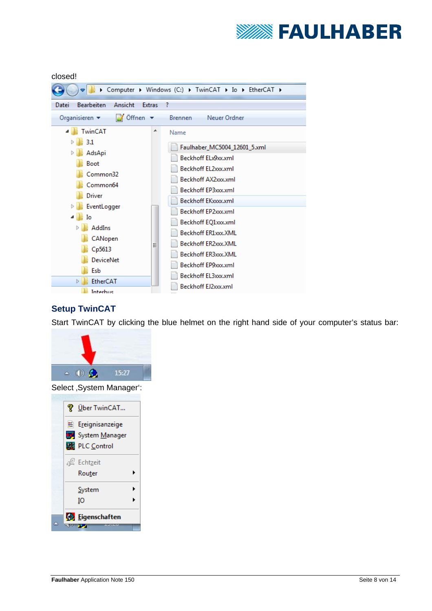

#### closed!

|                                                        | > Computer > Windows (C:) > TwinCAT > Io > EtherCAT > |
|--------------------------------------------------------|-------------------------------------------------------|
| <b>Bearbeiten</b><br>Ansicht<br><b>Extras</b><br>Datei | ?                                                     |
| Öffnen<br>Organisieren $\blacktriangledown$<br>×       | Neuer Ordner<br><b>Brennen</b>                        |
| TwinCAT<br>┻                                           | Name                                                  |
| 3.1                                                    | Faulhaber_MC5004_12601_5.xml                          |
| Þ<br>AdsApi                                            | Beckhoff ELx9xx.xml                                   |
| Boot                                                   | Beckhoff EL2xxx.xml                                   |
| Common32                                               |                                                       |
| Common64                                               | Beckhoff AX2xxx.xml                                   |
| <b>Driver</b>                                          | Beckhoff EP3xxx.xml                                   |
| EventLogger                                            | Beckhoff EKxxxx.xml                                   |
| ن ہ<br>Io                                              | Beckhoff EP2xxx.xml                                   |
| AddIns<br>$\triangleright$                             | Beckhoff EQ1xxx.xml                                   |
| CANopen                                                | Beckhoff ER1xxx.XML                                   |
| Ξ<br>Cp5613                                            | Beckhoff ER2xxx.XML                                   |
| <b>DeviceNet</b>                                       | Beckhoff ER3xxx.XML                                   |
| Esb                                                    | Beckhoff EP9xxx.xml                                   |
| EtherCAT<br>$\triangleright$                           | Beckhoff EL3xxx.xml                                   |
| Interbus                                               | Beckhoff EJ2xxx.xml                                   |

## **Setup TwinCAT**

Start TwinCAT by clicking the blue helmet on the right hand side of your computer's status bar:



Select , System Manager':

| <b>V</b> Über TwinCAT |  |
|-----------------------|--|
| E Ereignisanzeige     |  |
| System Manager        |  |
| PLC Control           |  |
| e Echtzeit            |  |
| Router                |  |
| System                |  |
| Ю                     |  |
| Eigenschaften         |  |
|                       |  |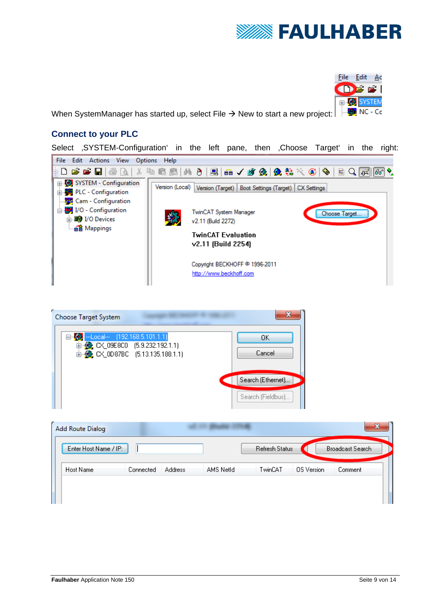



When SystemManager has started up, select File  $\rightarrow$  New to start a new project:

#### **Connect to your PLC**

Select , SYSTEM-Configuration' in the left pane, then , Choose Target' in the right:





| <b>Add Route Dialog</b> |           |                |           |                |            | $\mathbf{x}$            |
|-------------------------|-----------|----------------|-----------|----------------|------------|-------------------------|
| Enter Host Name / IP:   |           |                |           | Refresh Status |            | <b>Broadcast Search</b> |
| Host Name               | Connected | <b>Address</b> | AMS NetId | TwinCAT        | OS Version | Comment                 |
|                         |           |                |           |                |            |                         |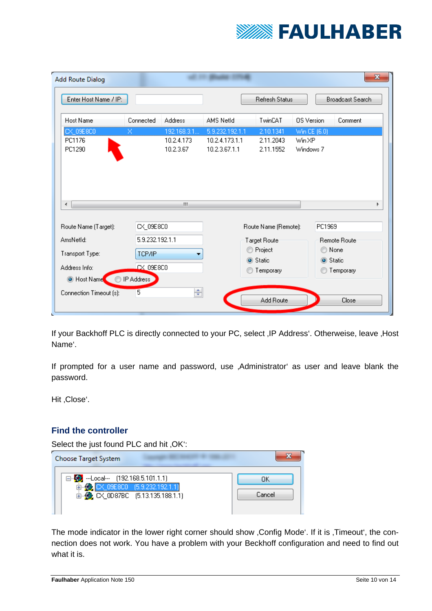

| Enter Host Name / IP:                                                                |                  |                                        |                                                    | Refresh Status                      |                                                | <b>Broadcast Search</b> |
|--------------------------------------------------------------------------------------|------------------|----------------------------------------|----------------------------------------------------|-------------------------------------|------------------------------------------------|-------------------------|
| Host Name                                                                            | Connected        | <b>Address</b>                         | AMS NetId                                          | TwinCAT                             | <b>OS</b> Version                              | Comment                 |
| CX_09E8C0<br>PC1176<br>PC1290                                                        | x                | 192.168.3.1<br>10.2.4.173<br>10.2.3.67 | 5.9.232.192.1.1<br>10.2.4.173.1.1<br>10.2.3.67.1.1 | 2.10.1341<br>2.11.2043<br>2.11.1552 | Win CE (6.0)<br>Win XP<br>Windows <sub>7</sub> |                         |
|                                                                                      |                  | m.                                     |                                                    |                                     |                                                |                         |
| ∢                                                                                    | CX_09E8C0        |                                        |                                                    | Route Name (Remote):                | PC1969                                         |                         |
|                                                                                      | 5.9.232.192.1.1  |                                        |                                                    | Target Route                        |                                                | <b>Remote Route</b>     |
|                                                                                      | TCP/IP           |                                        | ⊙                                                  | Project                             | ⊙                                              | None                    |
|                                                                                      | $\approx$ 09E8C0 |                                        |                                                    | ◉ Static                            |                                                | Static                  |
| Route Name (Target):<br>AmsNetId:<br>Transport Type:<br>Address Info:<br>O Host Name | IP Address       |                                        |                                                    | Temporary                           |                                                | Temporary               |

If your Backhoff PLC is directly connected to your PC, select , IP Address'. Otherweise, leave , Host Name'.

If prompted for a user name and password, use ,Administrator' as user and leave blank the password.

Hit, Close'.

## **Find the controller**

Select the just found PLC and hit, OK":

| Choose Target System                                                |        |
|---------------------------------------------------------------------|--------|
| ⊟ <sup>1</sup> / <sub>2</sub> --Local -- (192.168.5.101.1.1)        | ΠK     |
| ED CX_09E8C0 (5.9.232.192.1.1)<br>由-BC CX_0D87BC [5.13.135.188.1.1] | Cancel |
|                                                                     |        |

The mode indicator in the lower right corner should show , Config Mode'. If it is , Timeout', the connection does not work. You have a problem with your Beckhoff configuration and need to find out what it is.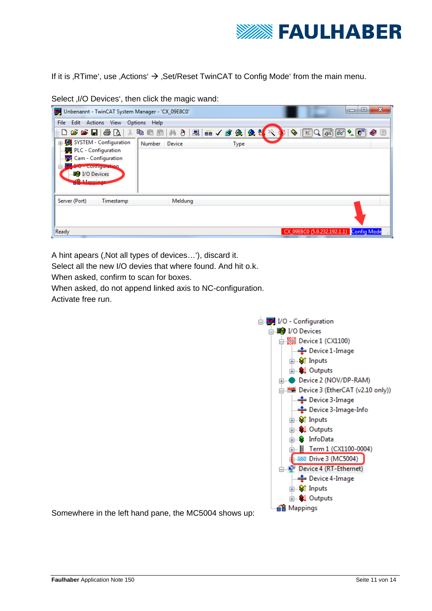

If it is , RTime', use , Actions'  $\rightarrow$  , Set/Reset TwinCAT to Config Mode' from the main menu.

|                                                                                                                                                                  | Unbenannt - TwinCAT System Manager - 'CX_09E8C0'    |               |             |                                                                                                                                                                                                                                                                                                                                                     | $\mathbf{x}$<br>o<br>$\Box$ |
|------------------------------------------------------------------------------------------------------------------------------------------------------------------|-----------------------------------------------------|---------------|-------------|-----------------------------------------------------------------------------------------------------------------------------------------------------------------------------------------------------------------------------------------------------------------------------------------------------------------------------------------------------|-----------------------------|
|                                                                                                                                                                  | File Edit Actions View Options Help                 |               |             |                                                                                                                                                                                                                                                                                                                                                     |                             |
|                                                                                                                                                                  | 0 6 6 8 8 4 4 5 6 8 8 8 9 8 9 8 9 8 9 8 9 8 9 8 7 8 |               |             | $\begin{picture}(130,10) \put(0,0){\line(1,0){10}} \put(15,0){\line(1,0){10}} \put(15,0){\line(1,0){10}} \put(15,0){\line(1,0){10}} \put(15,0){\line(1,0){10}} \put(15,0){\line(1,0){10}} \put(15,0){\line(1,0){10}} \put(15,0){\line(1,0){10}} \put(15,0){\line(1,0){10}} \put(15,0){\line(1,0){10}} \put(15,0){\line(1,0){10}} \put(15,0){\line($ |                             |
| E SYSTEM - Configuration<br>· <b>--</b> PLC - Configuration<br>Cam - Configuration<br>57 I/O - conniguration<br>Ė.<br><b>ED</b> I/O Devices<br><b>Allannings</b> |                                                     | Number Device | <b>Type</b> |                                                                                                                                                                                                                                                                                                                                                     |                             |
| Server (Port)                                                                                                                                                    | Timestamp                                           | Meldung       |             |                                                                                                                                                                                                                                                                                                                                                     |                             |
|                                                                                                                                                                  |                                                     |               |             |                                                                                                                                                                                                                                                                                                                                                     |                             |
| Ready                                                                                                                                                            |                                                     |               |             | CX 09E8C0 (5.9.232.192.1.1) Config Mode                                                                                                                                                                                                                                                                                                             |                             |

Select , I/O Devices', then click the magic wand:

A hint apears (, Not all types of devices...'), discard it.

Select all the new I/O devies that where found. And hit o.k.

When asked, confirm to scan for boxes.

When asked, do not append linked axis to NC-configuration.

Activate free run.



Somewhere in the left hand pane, the MC5004 shows up: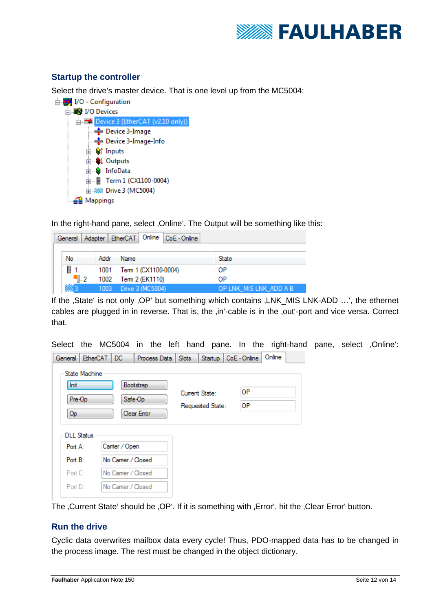

#### **Startup the controller**

Select the drive's master device. That is one level up from the MC5004:

□ VO - Configuration  $\Box$  $\blacksquare$  I/O Devices  $\frac{1}{\sqrt{2}}$  Device 3 (EtherCAT (v2.10 only)) Device 3-Image Device 3-Image-Info **ம்-** <sup>\$</sup>/† Inputs **E** © Outputs **E** SalinfoData m Term 1 (CX1100-0004) A 222 Drive 3 (MC5004) e Mappings

In the right-hand pane, select , Online'. The Output will be something like this:

| Adapter   EtherCAT   Online   CoE - Online<br>General |      |                           |                        |  |  |  |  |
|-------------------------------------------------------|------|---------------------------|------------------------|--|--|--|--|
| No                                                    | Addr | Name                      | State                  |  |  |  |  |
| H                                                     |      | 1001 Term 1 (CX1100-0004) | ΟP                     |  |  |  |  |
| "L2                                                   |      | 1002 Tem 2 (EK1110)       | ΟP                     |  |  |  |  |
|                                                       |      | Drive 3 (MC5004)          | OP LNK MIS LNK ADD A B |  |  |  |  |

If the 'State' is not only 'OP' but something which contains  $I(NK$  MIS LNK-ADD ...', the ethernet cables are plugged in in reverse. That is, the ,in'-cable is in the ,out'-port and vice versa. Correct that.

Select the MC5004 in the left hand pane. In the right-hand pane, select , Online':

| General           | EtherCAT   DC                                                                                                           |                     | Process Data   Slots |  |  | Startup   CoE - Online | Online |  |
|-------------------|-------------------------------------------------------------------------------------------------------------------------|---------------------|----------------------|--|--|------------------------|--------|--|
| Init<br>Op        | <b>State Machine</b><br>Bootstrap<br>OP<br>Current State:<br>Pre-Op<br>Safe-Op<br>ΟP<br>Requested State:<br>Clear Error |                     |                      |  |  |                        |        |  |
| <b>DLL Status</b> |                                                                                                                         |                     |                      |  |  |                        |        |  |
|                   | Camier / Open<br>Port A:                                                                                                |                     |                      |  |  |                        |        |  |
| Port B:           |                                                                                                                         | No Camer / Closed   |                      |  |  |                        |        |  |
| Port C:           |                                                                                                                         | No Carrier / Closed |                      |  |  |                        |        |  |
| Port D:           |                                                                                                                         | No Camer / Closed   |                      |  |  |                        |        |  |

The Current State' should be OP'. If it is something with Error', hit the Olear Error' button.

#### **Run the drive**

Cyclic data overwrites mailbox data every cycle! Thus, PDO-mapped data has to be changed in the process image. The rest must be changed in the object dictionary.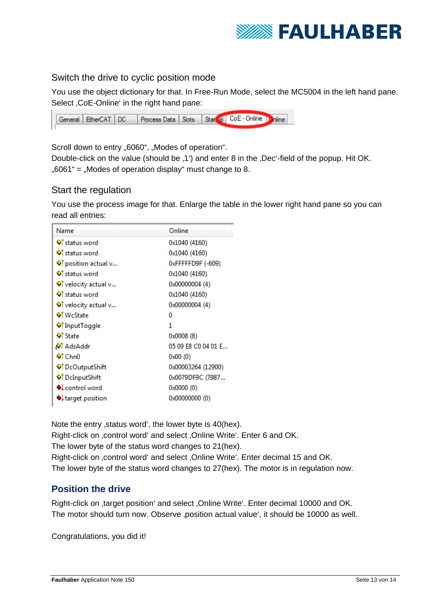

#### Switch the drive to cyclic position mode

You use the object dictionary for that. In Free-Run Mode, select the MC5004 in the left hand pane. Select , CoE-Online' in the right hand pane:



Scroll down to entry "6060", "Modes of operation".

Double-click on the value (should be .1') and enter 8 in the .Dec'-field of the popup. Hit OK.  $0.6061$ " =  $0.0008$  Modes of operation display" must change to 8.

#### Start the regulation

You use the process image for that. Enlarge the table in the lower right hand pane so you can read all entries:

| Name                   | Online              |  |  |  |
|------------------------|---------------------|--|--|--|
| <b>Of status word</b>  | 0x1040 (4160)       |  |  |  |
| <b>Of status word</b>  | 0x1040 (4160)       |  |  |  |
| ♦ position actual v    | 0xFFFFFD9F (-609)   |  |  |  |
| <b>Of status word</b>  | 0x1040 (4160)       |  |  |  |
| ♦ velocity actual v    | 0x00000004 (4)      |  |  |  |
| <b>Of</b> status word  | 0x1040 (4160)       |  |  |  |
| ♦ velocity actual v    | 0x00000004 (4)      |  |  |  |
| <b>Of</b> WcState      | o                   |  |  |  |
| ♦ Input Toggle         | 1                   |  |  |  |
| ♦ State                | 0x0008 (8)          |  |  |  |
| . Ads Addr             | 05 09 E8 C0 04 01 E |  |  |  |
| <b>♦↑Chn0</b>          | 0x00(0)             |  |  |  |
| <b>♦ DcOutputShift</b> | 0x00003264 (12900)  |  |  |  |
| ♦ DcInputShift         | 0x0079DF9C (7987    |  |  |  |
| L control word         | 0x0000(0)           |  |  |  |
| I target position      | 0x00000000 (0)      |  |  |  |

Note the entry , status word', the lower byte is 40(hex). Right-click on .control word' and select .Online Write'. Enter 6 and OK. The lower byte of the status word changes to 21(hex). Right-click on , control word' and select , Online Write'. Enter decimal 15 and OK. The lower byte of the status word changes to 27(hex). The motor is in regulation now.

#### **Position the drive**

Right-click on ,target position' and select , Online Write'. Enter decimal 10000 and OK. The motor should turn now. Observe ,position actual value', it should be 10000 as well.

Congratulations, you did it!